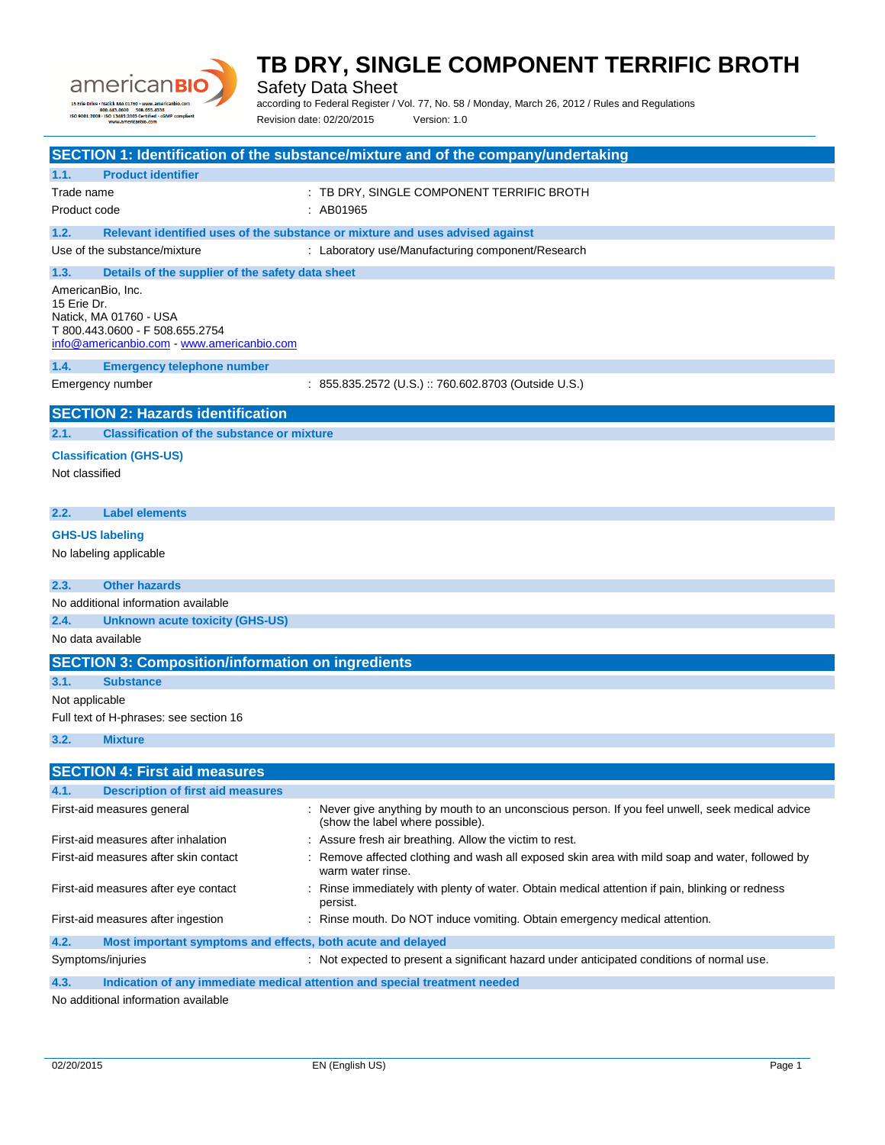

Safety Data Sheet

according to Federal Register / Vol. 77, No. 58 / Monday, March 26, 2012 / Rules and Regulations

Revision date: 02/20/2015 Version: 1.0

|                                                                                    | SECTION 1: Identification of the substance/mixture and of the company/undertaking                                                    |
|------------------------------------------------------------------------------------|--------------------------------------------------------------------------------------------------------------------------------------|
| 1.1.<br><b>Product identifier</b>                                                  |                                                                                                                                      |
| Trade name                                                                         | : TB DRY, SINGLE COMPONENT TERRIFIC BROTH                                                                                            |
| Product code                                                                       | : AB01965                                                                                                                            |
| 1.2.                                                                               | Relevant identified uses of the substance or mixture and uses advised against                                                        |
| Use of the substance/mixture                                                       | : Laboratory use/Manufacturing component/Research                                                                                    |
|                                                                                    |                                                                                                                                      |
| 1.3.<br>Details of the supplier of the safety data sheet<br>AmericanBio, Inc.      |                                                                                                                                      |
| 15 Erie Dr.                                                                        |                                                                                                                                      |
| Natick, MA 01760 - USA                                                             |                                                                                                                                      |
| T 800.443.0600 - F 508.655.2754<br>info@americanbio.com - www.americanbio.com      |                                                                                                                                      |
| 1.4.<br><b>Emergency telephone number</b>                                          |                                                                                                                                      |
| Emergency number                                                                   | : 855.835.2572 (U.S.) :: 760.602.8703 (Outside U.S.)                                                                                 |
|                                                                                    |                                                                                                                                      |
| <b>SECTION 2: Hazards identification</b>                                           |                                                                                                                                      |
| 2.1.<br><b>Classification of the substance or mixture</b>                          |                                                                                                                                      |
| <b>Classification (GHS-US)</b>                                                     |                                                                                                                                      |
| Not classified                                                                     |                                                                                                                                      |
|                                                                                    |                                                                                                                                      |
| <b>Label elements</b><br>2.2.                                                      |                                                                                                                                      |
| <b>GHS-US labeling</b>                                                             |                                                                                                                                      |
| No labeling applicable                                                             |                                                                                                                                      |
|                                                                                    |                                                                                                                                      |
| 2.3.<br><b>Other hazards</b>                                                       |                                                                                                                                      |
| No additional information available                                                |                                                                                                                                      |
| 2.4.<br><b>Unknown acute toxicity (GHS-US)</b>                                     |                                                                                                                                      |
| No data available                                                                  |                                                                                                                                      |
| <b>SECTION 3: Composition/information on ingredients</b>                           |                                                                                                                                      |
| 3.1.<br><b>Substance</b>                                                           |                                                                                                                                      |
| Not applicable                                                                     |                                                                                                                                      |
| Full text of H-phrases: see section 16                                             |                                                                                                                                      |
| 3.2.<br><b>Mixture</b>                                                             |                                                                                                                                      |
|                                                                                    |                                                                                                                                      |
| <b>SECTION 4: First aid measures</b>                                               |                                                                                                                                      |
| 4.1.<br><b>Description of first aid measures</b>                                   |                                                                                                                                      |
| First-aid measures general                                                         | : Never give anything by mouth to an unconscious person. If you feel unwell, seek medical advice<br>(show the label where possible). |
| First-aid measures after inhalation                                                | : Assure fresh air breathing. Allow the victim to rest.                                                                              |
| First-aid measures after skin contact                                              | Remove affected clothing and wash all exposed skin area with mild soap and water, followed by<br>warm water rinse.                   |
| First-aid measures after eye contact                                               | Rinse immediately with plenty of water. Obtain medical attention if pain, blinking or redness<br>persist.                            |
| First-aid measures after ingestion                                                 | : Rinse mouth. Do NOT induce vomiting. Obtain emergency medical attention.                                                           |
| 4.2.<br>Most important symptoms and effects, both acute and delayed                |                                                                                                                                      |
| Symptoms/injuries                                                                  | : Not expected to present a significant hazard under anticipated conditions of normal use.                                           |
| 4.3.<br>Indication of any immediate medical attention and special treatment needed |                                                                                                                                      |
| No additional information available                                                |                                                                                                                                      |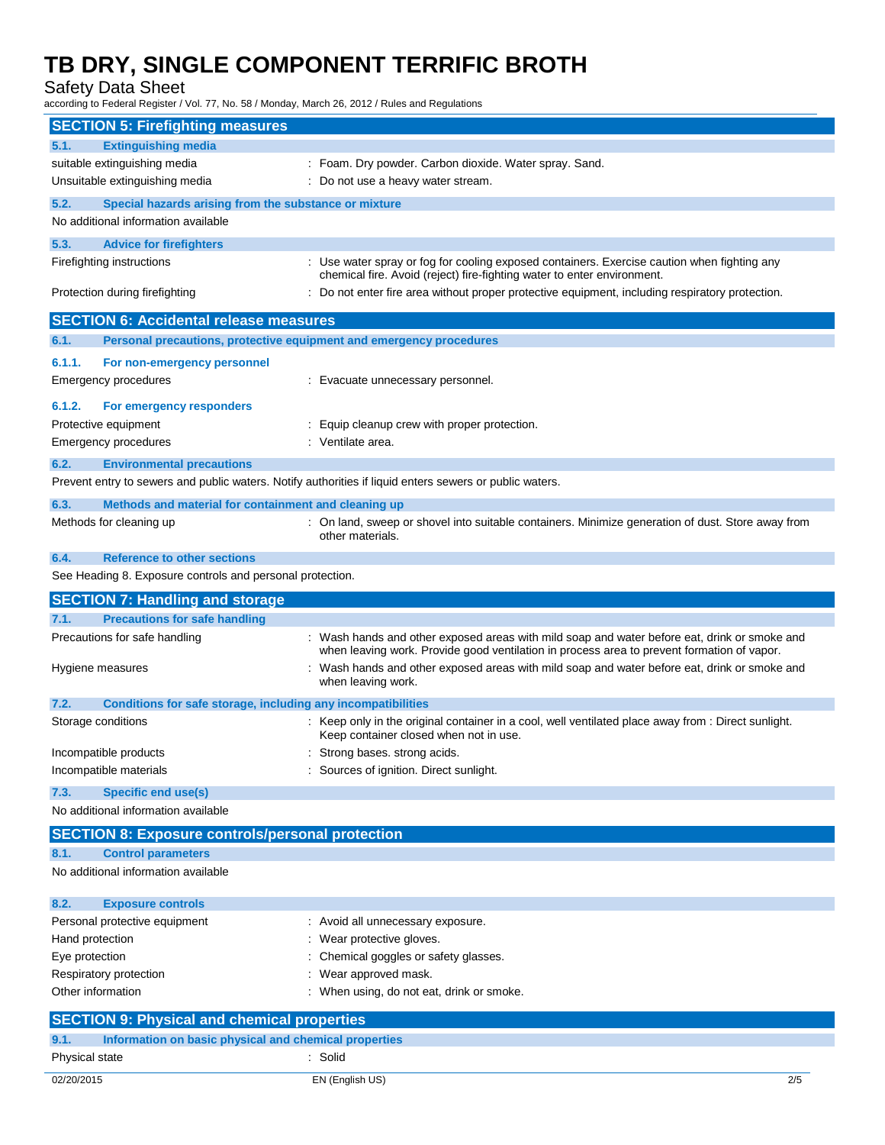Safety Data Sheet

according to Federal Register / Vol. 77, No. 58 / Monday, March 26, 2012 / Rules and Regulations

|                        | <b>SECTION 5: Firefighting measures</b>                             |                                                                                                                                                                                            |
|------------------------|---------------------------------------------------------------------|--------------------------------------------------------------------------------------------------------------------------------------------------------------------------------------------|
| 5.1.                   | <b>Extinguishing media</b>                                          |                                                                                                                                                                                            |
|                        | suitable extinguishing media                                        | : Foam. Dry powder. Carbon dioxide. Water spray. Sand.                                                                                                                                     |
|                        | Unsuitable extinguishing media                                      | : Do not use a heavy water stream.                                                                                                                                                         |
| 5.2.                   | Special hazards arising from the substance or mixture               |                                                                                                                                                                                            |
|                        | No additional information available                                 |                                                                                                                                                                                            |
| 5.3.                   | <b>Advice for firefighters</b>                                      |                                                                                                                                                                                            |
|                        | Firefighting instructions                                           | : Use water spray or fog for cooling exposed containers. Exercise caution when fighting any                                                                                                |
|                        | Protection during firefighting                                      | chemical fire. Avoid (reject) fire-fighting water to enter environment.<br>: Do not enter fire area without proper protective equipment, including respiratory protection.                 |
|                        | <b>SECTION 6: Accidental release measures</b>                       |                                                                                                                                                                                            |
| 6.1.                   | Personal precautions, protective equipment and emergency procedures |                                                                                                                                                                                            |
| 6.1.1.                 | For non-emergency personnel                                         |                                                                                                                                                                                            |
|                        | Emergency procedures                                                | : Evacuate unnecessary personnel.                                                                                                                                                          |
|                        |                                                                     |                                                                                                                                                                                            |
| 6.1.2.                 | For emergency responders                                            |                                                                                                                                                                                            |
|                        | Protective equipment                                                | Equip cleanup crew with proper protection.                                                                                                                                                 |
|                        | Emergency procedures                                                | : Ventilate area.                                                                                                                                                                          |
| 6.2.                   | <b>Environmental precautions</b>                                    |                                                                                                                                                                                            |
|                        |                                                                     | Prevent entry to sewers and public waters. Notify authorities if liquid enters sewers or public waters.                                                                                    |
| 6.3.                   | Methods and material for containment and cleaning up                |                                                                                                                                                                                            |
|                        | Methods for cleaning up                                             | : On land, sweep or shovel into suitable containers. Minimize generation of dust. Store away from<br>other materials.                                                                      |
| 6.4.                   | <b>Reference to other sections</b>                                  |                                                                                                                                                                                            |
|                        | See Heading 8. Exposure controls and personal protection.           |                                                                                                                                                                                            |
|                        |                                                                     |                                                                                                                                                                                            |
|                        | <b>SECTION 7: Handling and storage</b>                              |                                                                                                                                                                                            |
| 7.1.                   | <b>Precautions for safe handling</b>                                |                                                                                                                                                                                            |
|                        | Precautions for safe handling                                       | : Wash hands and other exposed areas with mild soap and water before eat, drink or smoke and<br>when leaving work. Provide good ventilation in process area to prevent formation of vapor. |
|                        | Hygiene measures                                                    | : Wash hands and other exposed areas with mild soap and water before eat, drink or smoke and<br>when leaving work.                                                                         |
| 7.2.                   |                                                                     |                                                                                                                                                                                            |
| Storage conditions     | Conditions for safe storage, including any incompatibilities        | : Keep only in the original container in a cool, well ventilated place away from : Direct sunlight.<br>Keep container closed when not in use.                                              |
|                        | Incompatible products                                               | : Strong bases, strong acids.                                                                                                                                                              |
|                        | Incompatible materials                                              | : Sources of ignition. Direct sunlight.                                                                                                                                                    |
| 7.3.                   | Specific end use(s)                                                 |                                                                                                                                                                                            |
|                        | No additional information available                                 |                                                                                                                                                                                            |
|                        |                                                                     |                                                                                                                                                                                            |
|                        | <b>SECTION 8: Exposure controls/personal protection</b>             |                                                                                                                                                                                            |
| 8.1.                   | <b>Control parameters</b><br>No additional information available    |                                                                                                                                                                                            |
| 8.2.                   | <b>Exposure controls</b>                                            |                                                                                                                                                                                            |
|                        | Personal protective equipment                                       | : Avoid all unnecessary exposure.                                                                                                                                                          |
| Hand protection        |                                                                     | Wear protective gloves.                                                                                                                                                                    |
| Eye protection         |                                                                     | Chemical goggles or safety glasses.                                                                                                                                                        |
|                        | Respiratory protection                                              | Wear approved mask.                                                                                                                                                                        |
| Other information      |                                                                     | When using, do not eat, drink or smoke.                                                                                                                                                    |
|                        | <b>SECTION 9: Physical and chemical properties</b>                  |                                                                                                                                                                                            |
| 9.1.<br>Physical state | Information on basic physical and chemical properties               | : Solid                                                                                                                                                                                    |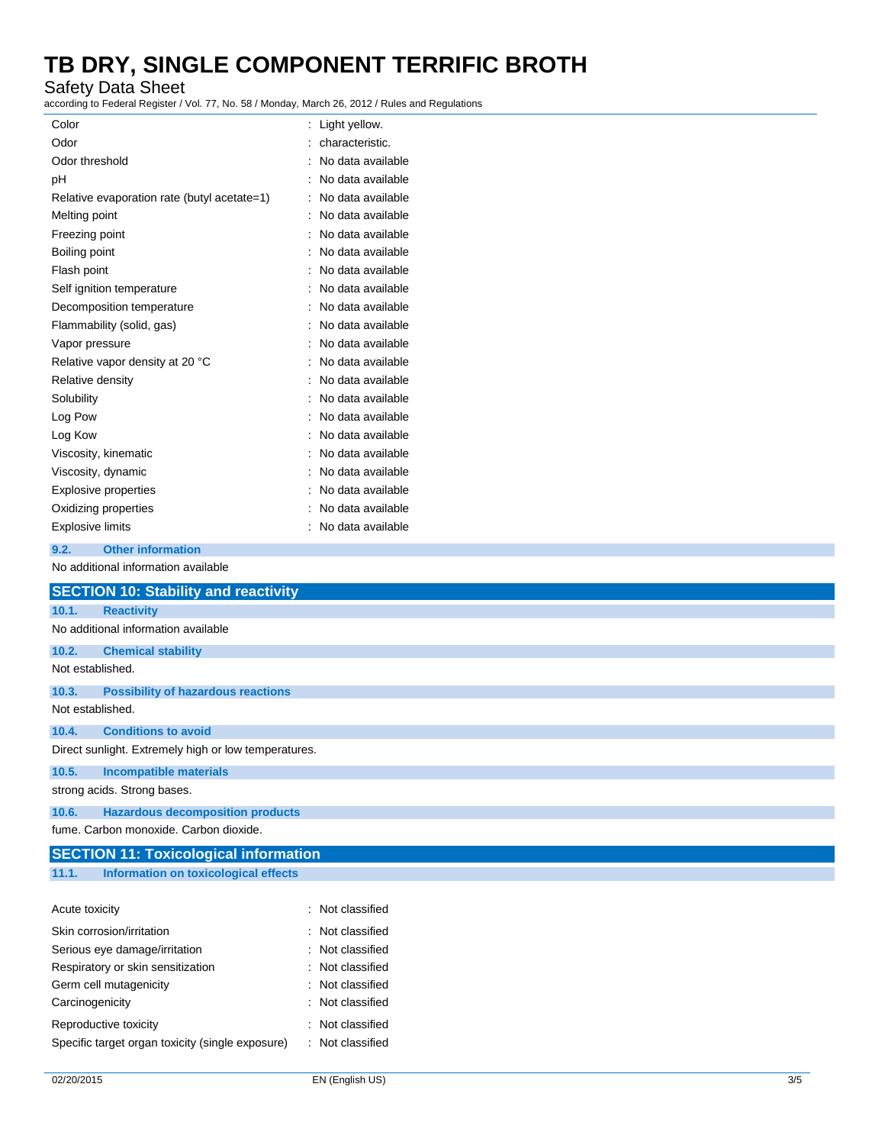Safety Data Sheet

according to Federal Register / Vol. 77, No. 58 / Monday, March 26, 2012 / Rules and Regulations

| Color                                       | Light yellow.     |
|---------------------------------------------|-------------------|
| Odor                                        | characteristic.   |
| Odor threshold                              | No data available |
| рH                                          | No data available |
| Relative evaporation rate (butyl acetate=1) | No data available |
| Melting point                               | No data available |
| Freezing point                              | No data available |
| Boiling point                               | No data available |
| Flash point                                 | No data available |
| Self ignition temperature                   | No data available |
| Decomposition temperature                   | No data available |
| Flammability (solid, gas)                   | No data available |
| Vapor pressure                              | No data available |
| Relative vapor density at 20 °C             | No data available |
| Relative density                            | No data available |
| Solubility                                  | No data available |
| Log Pow                                     | No data available |
| Log Kow                                     | No data available |
| Viscosity, kinematic                        | No data available |
| Viscosity, dynamic                          | No data available |
| Explosive properties                        | No data available |
| Oxidizing properties                        | No data available |
| <b>Explosive limits</b>                     | No data available |
| <b>Other information</b><br>9.2.            |                   |
| No additional information available         |                   |

|                  | <b>SECTION 10: Stability and reactivity</b>          |
|------------------|------------------------------------------------------|
| 10.1.            | <b>Reactivity</b>                                    |
|                  | No additional information available                  |
| 10.2.            | <b>Chemical stability</b>                            |
| Not established. |                                                      |
| 10.3.            | <b>Possibility of hazardous reactions</b>            |
| Not established. |                                                      |
| 10.4.            | <b>Conditions to avoid</b>                           |
|                  | Direct sunlight. Extremely high or low temperatures. |
| 10.5.            | <b>Incompatible materials</b>                        |
|                  | strong acids. Strong bases.                          |
| 10.6.            | <b>Hazardous decomposition products</b>              |
|                  | fume. Carbon monoxide. Carbon dioxide.               |
|                  | <b>SECTION 11: Toxicological information</b>         |
| 11.1.            | Information on toxicological effects                 |

| Acute toxicity                                   | : Not classified            |
|--------------------------------------------------|-----------------------------|
| Skin corrosion/irritation                        | : Not classified            |
| Serious eye damage/irritation                    | : Not classified            |
| Respiratory or skin sensitization                | $\therefore$ Not classified |
| Germ cell mutagenicity                           | : Not classified            |
| Carcinogenicity                                  | : Not classified            |
| Reproductive toxicity                            | : Not classified            |
| Specific target organ toxicity (single exposure) | : Not classified            |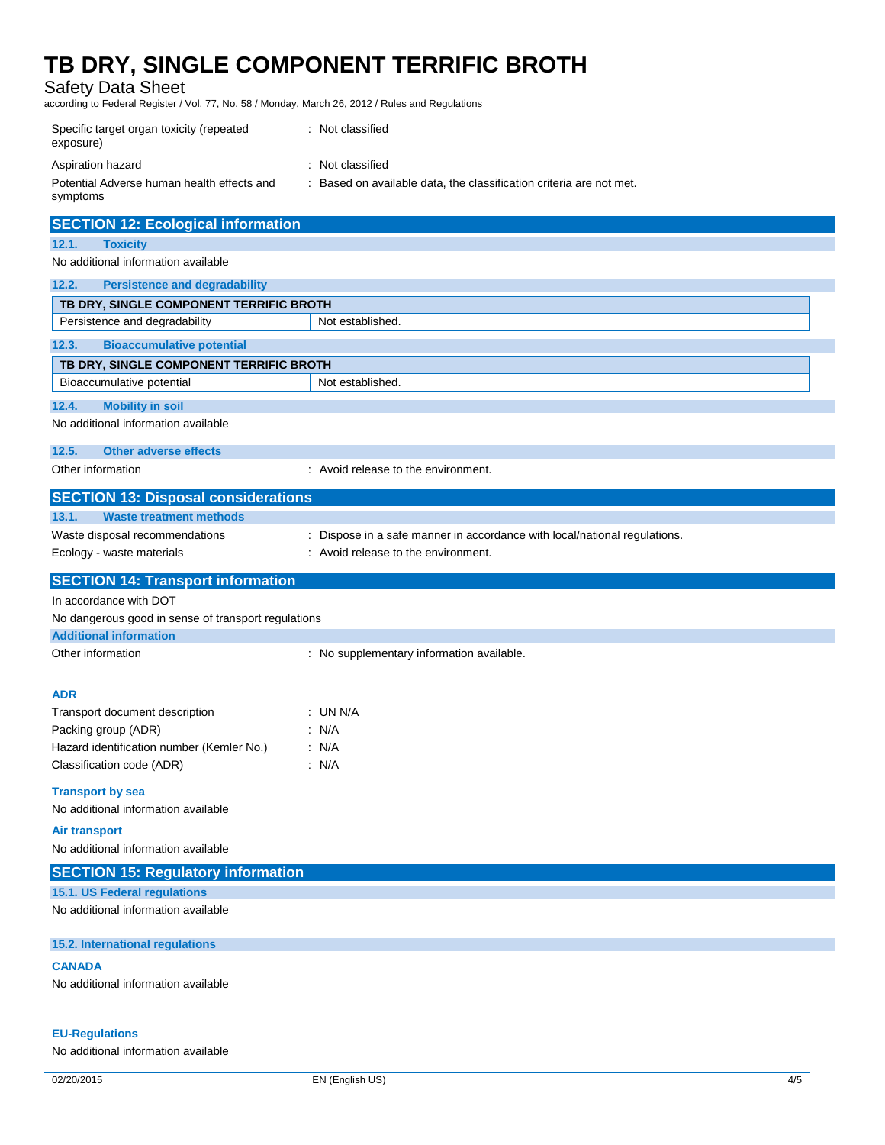| <b>Safety Data Sheet</b><br>according to Federal Register / Vol. 77, No. 58 / Monday, March 26, 2012 / Rules and Regulations |                                                                         |
|------------------------------------------------------------------------------------------------------------------------------|-------------------------------------------------------------------------|
| Specific target organ toxicity (repeated<br>exposure)                                                                        | : Not classified                                                        |
| Aspiration hazard                                                                                                            | : Not classified                                                        |
| Potential Adverse human health effects and<br>symptoms                                                                       | : Based on available data, the classification criteria are not met.     |
| <b>SECTION 12: Ecological information</b>                                                                                    |                                                                         |
| 12.1.<br><b>Toxicity</b>                                                                                                     |                                                                         |
| No additional information available                                                                                          |                                                                         |
| <b>Persistence and degradability</b><br>12.2.                                                                                |                                                                         |
| TB DRY, SINGLE COMPONENT TERRIFIC BROTH                                                                                      |                                                                         |
| Persistence and degradability                                                                                                | Not established.                                                        |
| 12.3.<br><b>Bioaccumulative potential</b>                                                                                    |                                                                         |
| TB DRY, SINGLE COMPONENT TERRIFIC BROTH                                                                                      |                                                                         |
| Bioaccumulative potential                                                                                                    | Not established.                                                        |
| 12.4.<br><b>Mobility in soil</b>                                                                                             |                                                                         |
| No additional information available                                                                                          |                                                                         |
| 12.5.<br><b>Other adverse effects</b>                                                                                        |                                                                         |
| Other information                                                                                                            | : Avoid release to the environment.                                     |
| <b>SECTION 13: Disposal considerations</b>                                                                                   |                                                                         |
| 13.1.<br><b>Waste treatment methods</b>                                                                                      |                                                                         |
| Waste disposal recommendations                                                                                               | Dispose in a safe manner in accordance with local/national regulations. |
| Ecology - waste materials                                                                                                    | : Avoid release to the environment.                                     |
| <b>SECTION 14: Transport information</b>                                                                                     |                                                                         |
| In accordance with DOT                                                                                                       |                                                                         |
| No dangerous good in sense of transport regulations                                                                          |                                                                         |
| <b>Additional information</b>                                                                                                |                                                                         |
| Other information                                                                                                            | : No supplementary information available.                               |
| <b>ADR</b>                                                                                                                   |                                                                         |
| Transport document description                                                                                               | : UN N/A                                                                |
| Packing group (ADR)                                                                                                          | : N/A                                                                   |
| Hazard identification number (Kemler No.)                                                                                    | : $N/A$                                                                 |
| Classification code (ADR)                                                                                                    | : $N/A$                                                                 |
| <b>Transport by sea</b>                                                                                                      |                                                                         |
| No additional information available                                                                                          |                                                                         |
| <b>Air transport</b>                                                                                                         |                                                                         |
| No additional information available                                                                                          |                                                                         |

| <b>SECTION 15: Regulatory information</b> |  |
|-------------------------------------------|--|
| 15.1. US Federal regulations              |  |
| No additional information available       |  |

**15.2. International regulations**

#### **CANADA**

No additional information available

#### **EU-Regulations**

No additional information available